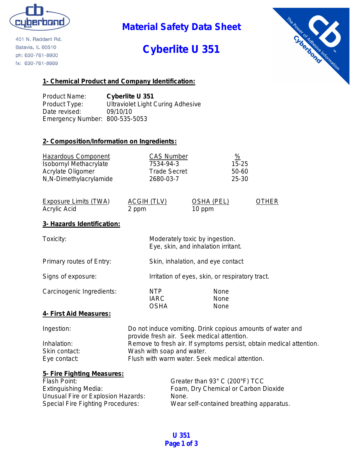

401 N. Raddant Rd. Batavia, IL 60510 ph: 630-761-8900 fx: 630-761-8989

## **Material Safety Data Sheet**

# **Cyberlite U 351**



#### **1- Chemical Product and Company Identification:**

Product Name: **Cyberlite U 351** Product Type: Ultraviolet Light Curing Adhesive Date revised: 09/10/10 Emergency Number: 800-535-5053

#### **2- Composition/Information on Ingredients:**

| <b>Hazardous Component</b>    | <b>CAS Number</b>   | %         |
|-------------------------------|---------------------|-----------|
| <b>Isobornyl Methacrylate</b> | 7534-94-3           | $15 - 25$ |
| Acrylate Oligomer             | <b>Trade Secret</b> | 50-60     |
| N,N-Dimethylacrylamide        | 2680-03-7           | 25-30     |

| Exposure Limits (TWA) | ACGIH (TLV) | OSHA (PEL) | <b>OTHER</b> |
|-----------------------|-------------|------------|--------------|
| Acrylic Acid          | 2 ppm       | 10 ppm     |              |

#### **3- Hazards Identification:**

| Toxicity:                 | Moderately toxic by ingestion.<br>Eye, skin, and inhalation irritant. |                      |
|---------------------------|-----------------------------------------------------------------------|----------------------|
| Primary routes of Entry:  | Skin, inhalation, and eye contact                                     |                      |
| Signs of exposure:        | Irritation of eyes, skin, or respiratory tract.                       |                      |
| Carcinogenic Ingredients: | NTP<br><b>IARC</b><br><b>OSHA</b>                                     | None<br>None<br>None |
| 4- First Aid Measures:    |                                                                       |                      |

| Ingestion:    | Do not induce vomiting. Drink copious amounts of water and          |
|---------------|---------------------------------------------------------------------|
|               | provide fresh air. Seek medical attention.                          |
| Inhalation:   | Remove to fresh air. If symptoms persist, obtain medical attention. |
| Skin contact: | Wash with soap and water.                                           |
| Eye contact:  | Flush with warm water. Seek medical attention.                      |

#### **5- Fire Fighting Measures:**

| Flash Point:                             | Greater than 93° C (200°F) TCC           |
|------------------------------------------|------------------------------------------|
| Extinguishing Media:                     | Foam, Dry Chemical or Carbon Dioxide     |
| Unusual Fire or Explosion Hazards:       | None.                                    |
| <b>Special Fire Fighting Procedures:</b> | Wear self-contained breathing apparatus. |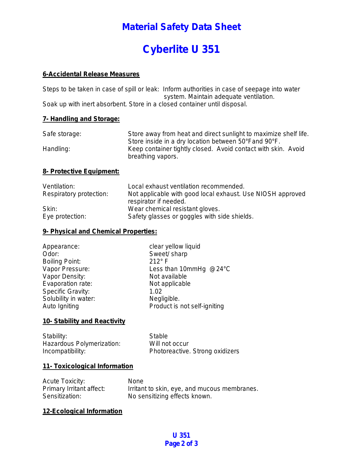## **Material Safety Data Sheet**

# **Cyberlite U 351**

#### **6-Accidental Release Measures**

Steps to be taken in case of spill or leak: Inform authorities in case of seepage into water system. Maintain adequate ventilation. Soak up with inert absorbent. Store in a closed container until disposal.

#### **7- Handling and Storage:**

| Safe storage: | Store away from heat and direct sunlight to maximize shelf life. |
|---------------|------------------------------------------------------------------|
|               | Store inside in a dry location between 50°Fand 90°F.             |
| Handling:     | Keep container tightly closed. Avoid contact with skin. Avoid    |
|               | breathing vapors.                                                |

#### **8- Protective Equipment:**

| Ventilation:            | Local exhaust ventilation recommended.                     |
|-------------------------|------------------------------------------------------------|
| Respiratory protection: | Not applicable with good local exhaust. Use NIOSH approved |
|                         | respirator if needed.                                      |
| Skin:                   | Wear chemical resistant gloves.                            |
| Eye protection:         | Safety glasses or goggles with side shields.               |

#### **9- Physical and Chemical Properties:**

| Appearance:              | clear yellow liquid          |
|--------------------------|------------------------------|
| Odor:                    | Sweet/ sharp                 |
| <b>Boiling Point:</b>    | $212^\circ$ F                |
| Vapor Pressure:          | Less than 10mmHg @24°C       |
| Vapor Density:           | Not available                |
| Evaporation rate:        | Not applicable               |
| <b>Specific Gravity:</b> | 1.02                         |
| Solubility in water:     | Negligible.                  |
| Auto Igniting            | Product is not self-igniting |

#### **10- Stability and Reactivity**

Stability: Stable Hazardous Polymerization: Will not occur Incompatibility: Photoreactive. Strong oxidizers

#### **11- Toxicological Information**

| <b>Acute Toxicity:</b>   | <b>None</b>                                  |
|--------------------------|----------------------------------------------|
| Primary Irritant affect: | Irritant to skin, eye, and mucous membranes. |
| Sensitization:           | No sensitizing effects known.                |

#### **12-Ecological Information**